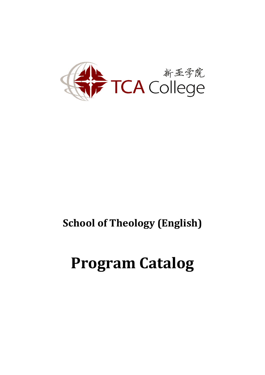

## **School of Theology (English)**

# **Program Catalog**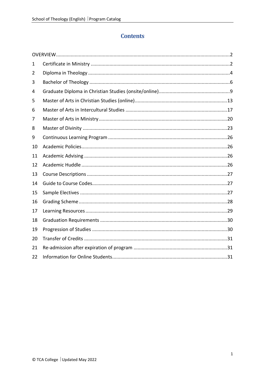## **Contents**

| 1  |  |
|----|--|
| 2  |  |
| 3  |  |
| 4  |  |
| 5  |  |
| 6  |  |
| 7  |  |
| 8  |  |
| 9  |  |
| 10 |  |
| 11 |  |
| 12 |  |
| 13 |  |
| 14 |  |
| 15 |  |
| 16 |  |
| 17 |  |
| 18 |  |
| 19 |  |
| 20 |  |
| 21 |  |
| 22 |  |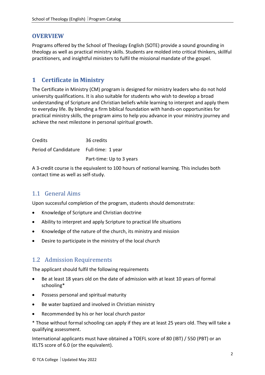#### <span id="page-2-0"></span>**OVERVIEW**

Programs offered by the School of Theology English (SOTE) provide a sound grounding in theology as well as practical ministry skills. Students are molded into critical thinkers, skillful practitioners, and insightful ministers to fulfil the missional mandate of the gospel.

#### <span id="page-2-1"></span>**1 Certificate in Ministry**

The Certificate in Ministry (CM) program is designed for ministry leaders who do not hold university qualifications. It is also suitable for students who wish to develop a broad understanding of Scripture and Christian beliefs while learning to interpret and apply them to everyday life. By blending a firm biblical foundation with hands-on opportunities for practical ministry skills, the program aims to help you advance in your ministry journey and achieve the next milestone in personal spiritual growth.

| Credits                                 | 36 credits               |
|-----------------------------------------|--------------------------|
| Period of Candidature Full-time: 1 year |                          |
|                                         | Part-time: Up to 3 years |

A 3-credit course is the equivalent to 100 hours of notional learning. This includes both contact time as well as self-study.

#### 1.1 General Aims

Upon successful completion of the program, students should demonstrate:

- Knowledge of Scripture and Christian doctrine
- Ability to interpret and apply Scripture to practical life situations
- Knowledge of the nature of the church, its ministry and mission
- Desire to participate in the ministry of the local church

#### 1.2 Admission Requirements

The applicant should fulfil the following requirements

- Be at least 18 years old on the date of admission with at least 10 years of formal schooling\*
- Possess personal and spiritual maturity
- Be water baptized and involved in Christian ministry
- Recommended by his or her local church pastor
- \* Those without formal schooling can apply if they are at least 25 years old. They will take a qualifying assessment.

International applicants must have obtained a TOEFL score of 80 (IBT) / 550 (PBT) or an IELTS score of 6.0 (or the equivalent).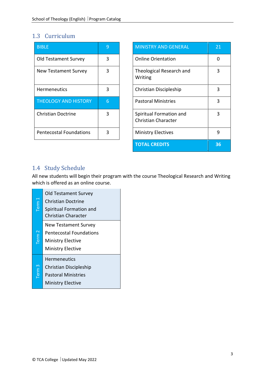#### 1.3 Curriculum

| <b>BIBLE</b>                   | 9 | <b>MINISTRY AND GENERAL</b>                           |
|--------------------------------|---|-------------------------------------------------------|
| <b>Old Testament Survey</b>    | 3 | <b>Online Orientation</b>                             |
| <b>New Testament Survey</b>    | 3 | Theological Research and<br>Writing                   |
| <b>Hermeneutics</b>            | 3 | Christian Discipleship                                |
| <b>THEOLOGY AND HISTORY</b>    | 6 | <b>Pastoral Ministries</b>                            |
| <b>Christian Doctrine</b>      | 3 | Spiritual Formation and<br><b>Christian Character</b> |
| <b>Pentecostal Foundations</b> | 3 | <b>Ministry Electives</b>                             |

| <b>BIBLE</b>                   | 9 | <b>MINISTRY AND GENERAL</b>                           | 21 |
|--------------------------------|---|-------------------------------------------------------|----|
| Old Testament Survey           | 3 | <b>Online Orientation</b>                             | 0  |
| <b>New Testament Survey</b>    | 3 | Theological Research and<br>Writing                   | 3  |
| <b>Hermeneutics</b>            | 3 | Christian Discipleship                                | 3  |
| <b>THEOLOGY AND HISTORY</b>    | 6 | <b>Pastoral Ministries</b>                            | 3  |
| <b>Christian Doctrine</b>      | 3 | Spiritual Formation and<br><b>Christian Character</b> | 3  |
| <b>Pentecostal Foundations</b> | 3 | <b>Ministry Electives</b>                             | 9  |
|                                |   | <b>TOTAL CREDITS</b>                                  | 36 |

## 1.4 Study Schedule

All new students will begin their program with the course Theological Research and Writing which is offered as an online course.

| Term $\frac{1}{2}$ | <b>Old Testament Survey</b><br><b>Christian Doctrine</b><br>Spiritual Formation and<br>Christian Character            |
|--------------------|-----------------------------------------------------------------------------------------------------------------------|
| Term <sub>2</sub>  | <b>New Testament Survey</b><br><b>Pentecostal Foundations</b><br><b>Ministry Elective</b><br><b>Ministry Elective</b> |
| Term <sub>3</sub>  | Hermeneutics<br>Christian Discipleship<br><b>Pastoral Ministries</b><br><b>Ministry Elective</b>                      |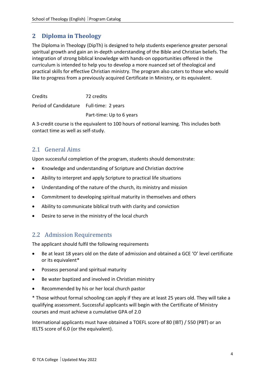## <span id="page-4-0"></span>**2 Diploma in Theology**

The Diploma in Theology (DipTh) is designed to help students experience greater personal spiritual growth and gain an in-depth understanding of the Bible and Christian beliefs. The integration of strong biblical knowledge with hands-on opportunities offered in the curriculum is intended to help you to develop a more nuanced set of theological and practical skills for effective Christian ministry. The program also caters to those who would like to progress from a previously acquired Certificate in Ministry, or its equivalent.

Credits 72 credits Period of Candidature Full-time: 2 years Part-time: Up to 6 years

A 3-credit course is the equivalent to 100 hours of notional learning. This includes both contact time as well as self-study.

## 2.1 General Aims

Upon successful completion of the program, students should demonstrate:

- Knowledge and understanding of Scripture and Christian doctrine
- Ability to interpret and apply Scripture to practical life situations
- Understanding of the nature of the church, its ministry and mission
- Commitment to developing spiritual maturity in themselves and others
- Ability to communicate biblical truth with clarity and conviction
- Desire to serve in the ministry of the local church

#### 2.2 Admission Requirements

The applicant should fulfil the following requirements

- Be at least 18 years old on the date of admission and obtained a GCE 'O' level certificate or its equivalent\*
- Possess personal and spiritual maturity
- Be water baptized and involved in Christian ministry
- Recommended by his or her local church pastor

\* Those without formal schooling can apply if they are at least 25 years old. They will take a qualifying assessment. Successful applicants will begin with the Certificate of Ministry courses and must achieve a cumulative GPA of 2.0

International applicants must have obtained a TOEFL score of 80 (IBT) / 550 (PBT) or an IELTS score of 6.0 (or the equivalent).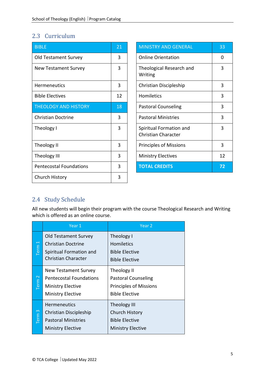## 2.3 Curriculum

| <b>BIBLE</b>                   | 21 | <b>MINISTRY AND GENERAL</b>                           | 33       |
|--------------------------------|----|-------------------------------------------------------|----------|
| <b>Old Testament Survey</b>    | 3  | <b>Online Orientation</b>                             | $\Omega$ |
| <b>New Testament Survey</b>    | 3  | Theological Research and<br>Writing                   | 3        |
| <b>Hermeneutics</b>            | 3  | Christian Discipleship                                | 3        |
| <b>Bible Electives</b>         | 12 | <b>Homiletics</b>                                     | 3        |
| <b>THEOLOGY AND HISTORY</b>    | 18 | <b>Pastoral Counseling</b>                            | 3        |
| <b>Christian Doctrine</b>      | 3  | <b>Pastoral Ministries</b>                            | 3        |
| Theology I                     | 3  | Spiritual Formation and<br><b>Christian Character</b> | 3        |
| Theology II                    | 3  | <b>Principles of Missions</b>                         | 3        |
| Theology III                   | 3  | <b>Ministry Electives</b>                             | 12       |
| <b>Pentecostal Foundations</b> | 3  | <b>TOTAL CREDITS</b>                                  | 72       |
| Church History                 | 3  |                                                       |          |

| <b>MINISTRY AND GENERAL</b>                           | 33 |
|-------------------------------------------------------|----|
| <b>Online Orientation</b>                             | ŋ  |
| Theological Research and<br>Writing                   | 3  |
| Christian Discipleship                                | 3  |
| Homiletics                                            | 3  |
| <b>Pastoral Counseling</b>                            | 3  |
| <b>Pastoral Ministries</b>                            | 3  |
| Spiritual Formation and<br><b>Christian Character</b> | 3  |
| <b>Principles of Missions</b>                         | 3  |
| <b>Ministry Electives</b>                             | 12 |
| <b>TOTAL CREDITS</b>                                  | 72 |

## 2.4 Study Schedule

All new students will begin their program with the course Theological Research and Writing which is offered as an online course.

|                   | Year 1                                                                                                                | Year <sub>2</sub>                                                                                   |
|-------------------|-----------------------------------------------------------------------------------------------------------------------|-----------------------------------------------------------------------------------------------------|
| Term <sub>1</sub> | <b>Old Testament Survey</b><br><b>Christian Doctrine</b><br>Spiritual Formation and<br><b>Christian Character</b>     | Theology I<br><b>Homiletics</b><br><b>Bible Elective</b><br><b>Bible Elective</b>                   |
| Term <sub>2</sub> | <b>New Testament Survey</b><br><b>Pentecostal Foundations</b><br><b>Ministry Elective</b><br><b>Ministry Elective</b> | Theology II<br><b>Pastoral Counseling</b><br><b>Principles of Missions</b><br><b>Bible Elective</b> |
| Term <sub>3</sub> | <b>Hermeneutics</b><br>Christian Discipleship<br><b>Pastoral Ministries</b><br><b>Ministry Elective</b>               | <b>Theology III</b><br><b>Church History</b><br><b>Bible Elective</b><br><b>Ministry Elective</b>   |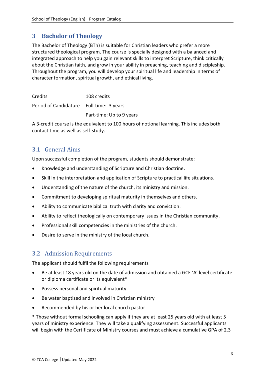## <span id="page-6-0"></span>**3 Bachelor of Theology**

The Bachelor of Theology (BTh) is suitable for Christian leaders who prefer a more structured theological program. The course is specially designed with a balanced and integrated approach to help you gain relevant skills to interpret Scripture, think critically about the Christian faith, and grow in your ability in preaching, teaching and discipleship. Throughout the program, you will develop your spiritual life and leadership in terms of character formation, spiritual growth, and ethical living.

Credits 108 credits Period of Candidature Full-time: 3 years Part-time: Up to 9 years

A 3-credit course is the equivalent to 100 hours of notional learning. This includes both contact time as well as self-study.

## 3.1 General Aims

Upon successful completion of the program, students should demonstrate:

- Knowledge and understanding of Scripture and Christian doctrine.
- Skill in the interpretation and application of Scripture to practical life situations.
- Understanding of the nature of the church, its ministry and mission.
- Commitment to developing spiritual maturity in themselves and others.
- Ability to communicate biblical truth with clarity and conviction.
- Ability to reflect theologically on contemporary issues in the Christian community.
- Professional skill competencies in the ministries of the church.
- Desire to serve in the ministry of the local church.

#### 3.2 Admission Requirements

The applicant should fulfil the following requirements

- Be at least 18 years old on the date of admission and obtained a GCE 'A' level certificate or diploma certificate or its equivalent\*
- Possess personal and spiritual maturity
- Be water baptized and involved in Christian ministry
- Recommended by his or her local church pastor

\* Those without formal schooling can apply if they are at least 25 years old with at least 5 years of ministry experience. They will take a qualifying assessment. Successful applicants will begin with the Certificate of Ministry courses and must achieve a cumulative GPA of 2.3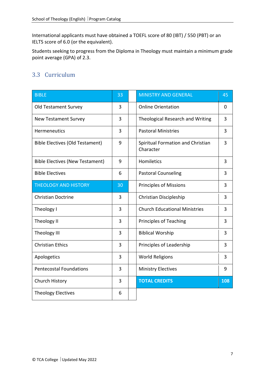International applicants must have obtained a TOEFL score of 80 (IBT) / 550 (PBT) or an IELTS score of 6.0 (or the equivalent).

Students seeking to progress from the Diploma in Theology must maintain a minimum grade point average (GPA) of 2.3.

## 3.3 Curriculum

| <b>BIBLE</b>                           | 33 | <b>MINISTRY AND GENERAL</b>                    | 45             |
|----------------------------------------|----|------------------------------------------------|----------------|
| <b>Old Testament Survey</b>            | 3  | <b>Online Orientation</b>                      | 0              |
| <b>New Testament Survey</b>            | 3  | Theological Research and Writing               | 3              |
| Hermeneutics                           | 3  | <b>Pastoral Ministries</b>                     | 3              |
| <b>Bible Electives (Old Testament)</b> | 9  | Spiritual Formation and Christian<br>Character | $\overline{3}$ |
| <b>Bible Electives (New Testament)</b> | 9  | Homiletics                                     | 3              |
| <b>Bible Electives</b>                 | 6  | <b>Pastoral Counseling</b>                     | 3              |
| <b>THEOLOGY AND HISTORY</b>            | 30 | <b>Principles of Missions</b>                  | 3              |
| <b>Christian Doctrine</b>              | 3  | Christian Discipleship                         | 3              |
| Theology I                             | 3  | <b>Church Educational Ministries</b>           | 3              |
| Theology II                            | 3  | <b>Principles of Teaching</b>                  | 3              |
| Theology III                           | 3  | <b>Biblical Worship</b>                        | 3              |
| <b>Christian Ethics</b>                | 3  | Principles of Leadership                       | 3              |
| Apologetics                            | 3  | <b>World Religions</b>                         | 3              |
| <b>Pentecostal Foundations</b>         | 3  | <b>Ministry Electives</b>                      | 9              |
| Church History                         | 3  | <b>TOTAL CREDITS</b>                           | 108            |
| <b>Theology Electives</b>              | 6  |                                                |                |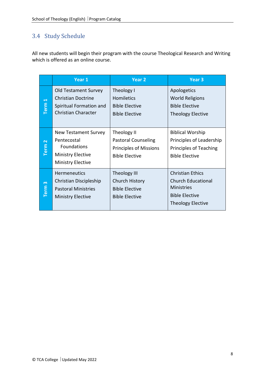## 3.4 Study Schedule

All new students will begin their program with the course Theological Research and Writing which is offered as an online course.

|                                  | Year 1                                                                                                                   | Year <sub>2</sub>                                                                                   | Year 3                                                                                                                         |
|----------------------------------|--------------------------------------------------------------------------------------------------------------------------|-----------------------------------------------------------------------------------------------------|--------------------------------------------------------------------------------------------------------------------------------|
| $\overline{\phantom{0}}$<br>Term | <b>Old Testament Survey</b><br><b>Christian Doctrine</b><br>Spiritual Formation and<br><b>Christian Character</b>        | Theology I<br><b>Homiletics</b><br><b>Bible Elective</b><br><b>Bible Elective</b>                   | Apologetics<br><b>World Religions</b><br><b>Bible Elective</b><br><b>Theology Elective</b>                                     |
| $\sim$<br>Term                   | <b>New Testament Survey</b><br>Pentecostal<br><b>Foundations</b><br><b>Ministry Elective</b><br><b>Ministry Elective</b> | Theology II<br><b>Pastoral Counseling</b><br><b>Principles of Missions</b><br><b>Bible Elective</b> | <b>Biblical Worship</b><br>Principles of Leadership<br>Principles of Teaching<br><b>Bible Elective</b>                         |
| $\sim$<br><b>Term</b>            | <b>Hermeneutics</b><br>Christian Discipleship<br><b>Pastoral Ministries</b><br><b>Ministry Elective</b>                  | <b>Theology III</b><br><b>Church History</b><br><b>Bible Elective</b><br><b>Bible Elective</b>      | <b>Christian Ethics</b><br><b>Church Educational</b><br><b>Ministries</b><br><b>Bible Elective</b><br><b>Theology Elective</b> |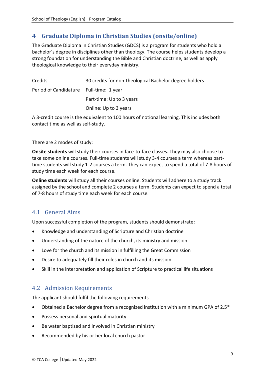## <span id="page-9-0"></span>**4 Graduate Diploma in Christian Studies (onsite/online)**

The Graduate Diploma in Christian Studies (GDCS) is a program for students who hold a bachelor's degree in disciplines other than theology. The course helps students develop a strong foundation for understanding the Bible and Christian doctrine, as well as apply theological knowledge to their everyday ministry.

| Credits                                 | 30 credits for non-theological Bachelor degree holders |
|-----------------------------------------|--------------------------------------------------------|
| Period of Candidature Full-time: 1 year |                                                        |
|                                         | Part-time: Up to 3 years                               |
|                                         | Online: Up to 3 years                                  |

A 3-credit course is the equivalent to 100 hours of notional learning. This includes both contact time as well as self-study.

#### There are 2 modes of study:

**Onsite students** will study their courses in face-to-face classes. They may also choose to take some online courses. Full-time students will study 3-4 courses a term whereas parttime students will study 1-2 courses a term. They can expect to spend a total of 7-8 hours of study time each week for each course.

**Online students** will study all their courses online. Students will adhere to a study track assigned by the school and complete 2 courses a term. Students can expect to spend a total of 7-8 hours of study time each week for each course.

#### 4.1 General Aims

Upon successful completion of the program, students should demonstrate:

- Knowledge and understanding of Scripture and Christian doctrine
- Understanding of the nature of the church, its ministry and mission
- Love for the church and its mission in fulfilling the Great Commission
- Desire to adequately fill their roles in church and its mission
- Skill in the interpretation and application of Scripture to practical life situations

#### 4.2 Admission Requirements

The applicant should fulfil the following requirements

- Obtained a Bachelor degree from a recognized institution with a minimum GPA of 2.5\*
- Possess personal and spiritual maturity
- Be water baptized and involved in Christian ministry
- Recommended by his or her local church pastor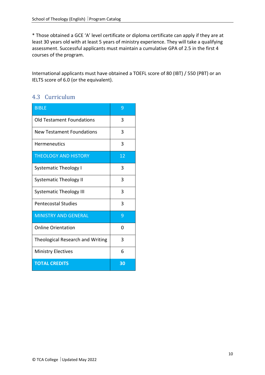\* Those obtained a GCE 'A' level certificate or diploma certificate can apply if they are at least 30 years old with at least 5 years of ministry experience. They will take a qualifying assessment. Successful applicants must maintain a cumulative GPA of 2.5 in the first 4 courses of the program.

International applicants must have obtained a TOEFL score of 80 (IBT) / 550 (PBT) or an IELTS score of 6.0 (or the equivalent).

## 4.3 Curriculum

| <b>BIBLE</b>                            | 9  |
|-----------------------------------------|----|
| <b>Old Testament Foundations</b>        | 3  |
| New Testament Foundations               | 3  |
| <b>Hermeneutics</b>                     | 3  |
| <b>THEOLOGY AND HISTORY</b>             | 12 |
| <b>Systematic Theology I</b>            | 3  |
| <b>Systematic Theology II</b>           | 3  |
| <b>Systematic Theology III</b>          | 3  |
| <b>Pentecostal Studies</b>              | 3  |
| <b>MINISTRY AND GENERAL</b>             | 9  |
| <b>Online Orientation</b>               | 0  |
| <b>Theological Research and Writing</b> | 3  |
| <b>Ministry Electives</b>               | 6  |
| <b>TOTAL CREDITS</b>                    | 30 |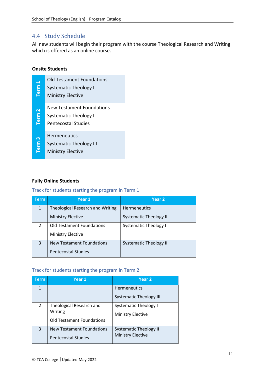#### 4.4 Study Schedule

All new students will begin their program with the course Theological Research and Writing which is offered as an online course.

#### **Onsite Students**

| Term <sub>1</sub>               | <b>Old Testament Foundations</b><br><b>Systematic Theology I</b><br><b>Ministry Elective</b>    |
|---------------------------------|-------------------------------------------------------------------------------------------------|
| $\overline{\mathbf{N}}$<br>Term | <b>New Testament Foundations</b><br><b>Systematic Theology II</b><br><b>Pentecostal Studies</b> |
| ო<br>Term                       | <b>Hermeneutics</b><br><b>Systematic Theology III</b><br><b>Ministry Elective</b>               |

#### **Fully Online Students**

#### Track for students starting the program in Term 1

| Term          | Year 1                                  | Year <sub>2</sub>              |
|---------------|-----------------------------------------|--------------------------------|
| $\mathbf{1}$  | <b>Theological Research and Writing</b> | <b>Hermeneutics</b>            |
|               | <b>Ministry Elective</b>                | <b>Systematic Theology III</b> |
| $\mathcal{P}$ | <b>Old Testament Foundations</b>        | <b>Systematic Theology I</b>   |
|               | <b>Ministry Elective</b>                |                                |
| 3             | <b>New Testament Foundations</b>        | <b>Systematic Theology II</b>  |
|               | <b>Pentecostal Studies</b>              |                                |

#### Track for students starting the program in Term 2

| Term           | Year 1                           | Year <sub>2</sub>              |
|----------------|----------------------------------|--------------------------------|
|                |                                  | <b>Hermeneutics</b>            |
|                |                                  | <b>Systematic Theology III</b> |
| $\overline{2}$ | Theological Research and         | <b>Systematic Theology I</b>   |
|                | Writing                          | <b>Ministry Elective</b>       |
|                | <b>Old Testament Foundations</b> |                                |
| 3              | <b>New Testament Foundations</b> | <b>Systematic Theology II</b>  |
|                | <b>Pentecostal Studies</b>       | <b>Ministry Elective</b>       |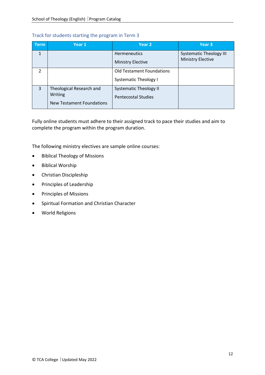#### Track for students starting the program in Term 3

| <b>Term</b>    | Year 1                                                                  | Year <sub>2</sub>                                                | Year 3                                                     |
|----------------|-------------------------------------------------------------------------|------------------------------------------------------------------|------------------------------------------------------------|
| $\mathbf{1}$   |                                                                         | <b>Hermeneutics</b><br><b>Ministry Elective</b>                  | <b>Systematic Theology III</b><br><b>Ministry Elective</b> |
| $\mathcal{P}$  |                                                                         | <b>Old Testament Foundations</b><br><b>Systematic Theology I</b> |                                                            |
| $\overline{3}$ | Theological Research and<br>Writing<br><b>New Testament Foundations</b> | <b>Systematic Theology II</b><br><b>Pentecostal Studies</b>      |                                                            |

Fully online students must adhere to their assigned track to pace their studies and aim to complete the program within the program duration.

The following ministry electives are sample online courses:

- Biblical Theology of Missions
- Biblical Worship
- Christian Discipleship
- Principles of Leadership
- Principles of Missions
- Spiritual Formation and Christian Character
- World Religions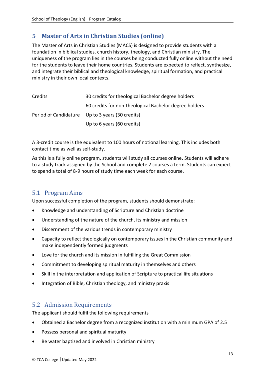## <span id="page-13-0"></span>**5 Master of Arts in Christian Studies (online)**

The Master of Arts in Christian Studies (MACS) is designed to provide students with a foundation in biblical studies, church history, theology, and Christian ministry. The uniqueness of the program lies in the courses being conducted fully online without the need for the students to leave their home countries. Students are expected to reflect, synthesize, and integrate their biblical and theological knowledge, spiritual formation, and practical ministry in their own local contexts.

| Credits | 30 credits for theological Bachelor degree holders     |
|---------|--------------------------------------------------------|
|         | 60 credits for non-theological Bachelor degree holders |
|         | Period of Candidature Up to 3 years (30 credits)       |
|         | Up to 6 years (60 credits)                             |

A 3-credit course is the equivalent to 100 hours of notional learning. This includes both contact time as well as self-study.

As this is a fully online program, students will study all courses online. Students will adhere to a study track assigned by the School and complete 2 courses a term. Students can expect to spend a total of 8-9 hours of study time each week for each course.

#### 5.1 Program Aims

Upon successful completion of the program, students should demonstrate:

- Knowledge and understanding of Scripture and Christian doctrine
- Understanding of the nature of the church, its ministry and mission
- Discernment of the various trends in contemporary ministry
- Capacity to reflect theologically on contemporary issues in the Christian community and make independently formed judgments
- Love for the church and its mission in fulfilling the Great Commission
- Commitment to developing spiritual maturity in themselves and others
- Skill in the interpretation and application of Scripture to practical life situations
- Integration of Bible, Christian theology, and ministry praxis

#### 5.2 Admission Requirements

The applicant should fulfil the following requirements

- Obtained a Bachelor degree from a recognized institution with a minimum GPA of 2.5
- Possess personal and spiritual maturity
- Be water baptized and involved in Christian ministry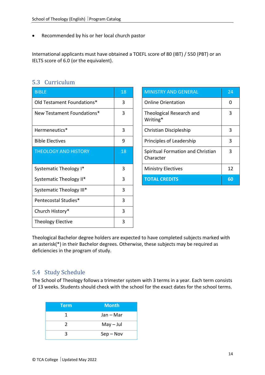• Recommended by his or her local church pastor

International applicants must have obtained a TOEFL score of 80 (IBT) / 550 (PBT) or an IELTS score of 6.0 (or the equivalent).

| 5.3 Curriculum |  |  |
|----------------|--|--|
|                |  |  |
|                |  |  |

| <b>BIBLE</b>                | 18 | <b>MINISTRY AND GENERAL</b>                    | 24       |
|-----------------------------|----|------------------------------------------------|----------|
| Old Testament Foundations*  | 3  | <b>Online Orientation</b>                      | $\Omega$ |
| New Testament Foundations*  | 3  | Theological Research and<br>Writing*           | 3        |
| Hermeneutics*               | 3  | Christian Discipleship                         | 3        |
| <b>Bible Electives</b>      | 9  | Principles of Leadership                       | 3        |
| <b>THEOLOGY AND HISTORY</b> | 18 | Spiritual Formation and Christian<br>Character | 3        |
| Systematic Theology I*      | 3  | <b>Ministry Electives</b>                      | 12       |
| Systematic Theology II*     | 3  | <b>TOTAL CREDITS</b>                           | 60       |
| Systematic Theology III*    | 3  |                                                |          |
| Pentecostal Studies*        | 3  |                                                |          |
| Church History*             | 3  |                                                |          |
| <b>Theology Elective</b>    | 3  |                                                |          |

| <b>MINISTRY AND GENERAL</b>                    | 24 |
|------------------------------------------------|----|
| <b>Online Orientation</b>                      | ი  |
| Theological Research and<br>Writing*           | 3  |
| Christian Discipleship                         | 3  |
| Principles of Leadership                       | 3  |
| Spiritual Formation and Christian<br>Character | 3  |
| <b>Ministry Electives</b>                      | 12 |
| <b>TOTAL CREDITS</b>                           | 60 |

Theological Bachelor degree holders are expected to have completed subjects marked with an asterisk(\*) in their Bachelor degrees. Otherwise, these subjects may be required as deficiencies in the program of study.

#### 5.4 Study Schedule

The School of Theology follows a trimester system with 3 terms in a year. Each term consists of 13 weeks. Students should check with the school for the exact dates for the school terms.

| Term          | <b>Month</b> |
|---------------|--------------|
|               | Jan – Mar    |
| $\mathcal{P}$ | $May - Jul$  |
|               | $Sep - Nov$  |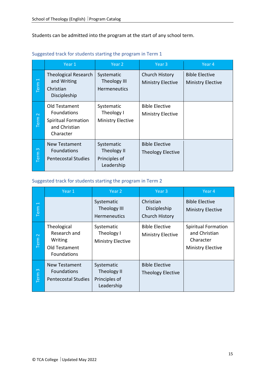Students can be admitted into the program at the start of any school term.

|                                  | Year 1                                                                                          | Year 2                                                   | Year 3                                            | Year 4                                            |
|----------------------------------|-------------------------------------------------------------------------------------------------|----------------------------------------------------------|---------------------------------------------------|---------------------------------------------------|
| $\overline{\phantom{0}}$<br>Term | <b>Theological Research</b><br>and Writing<br>Christian<br>Discipleship                         | Systematic<br>Theology III<br><b>Hermeneutics</b>        | Church History<br><b>Ministry Elective</b>        | <b>Bible Elective</b><br><b>Ministry Elective</b> |
| $\sim$<br>Term                   | Old Testament<br><b>Foundations</b><br><b>Spiritual Formation</b><br>and Christian<br>Character | Systematic<br>Theology I<br><b>Ministry Elective</b>     | <b>Bible Elective</b><br><b>Ministry Elective</b> |                                                   |
| $\infty$<br>Term                 | <b>New Testament</b><br><b>Foundations</b><br><b>Pentecostal Studies</b>                        | Systematic<br>Theology II<br>Principles of<br>Leadership | <b>Bible Elective</b><br><b>Theology Elective</b> |                                                   |

#### Suggested track for students starting the program in Term 1

#### Suggested track for students starting the program in Term 2

|                                  | Year 1                                                                 | Year 2                                                   | Year 3                                            | Year 4                                                                               |
|----------------------------------|------------------------------------------------------------------------|----------------------------------------------------------|---------------------------------------------------|--------------------------------------------------------------------------------------|
| $\overline{\phantom{0}}$<br>Term |                                                                        | Systematic<br><b>Theology III</b><br>Hermeneutics        | Christian<br>Discipleship<br>Church History       | <b>Bible Elective</b><br><b>Ministry Elective</b>                                    |
| $\sim$<br>Term                   | Theological<br>Research and<br>Writing<br>Old Testament<br>Foundations | Systematic<br>Theology I<br><b>Ministry Elective</b>     | <b>Bible Elective</b><br><b>Ministry Elective</b> | <b>Spiritual Formation</b><br>and Christian<br>Character<br><b>Ministry Elective</b> |
| Term <sub>3</sub>                | New Testament<br><b>Foundations</b><br><b>Pentecostal Studies</b>      | Systematic<br>Theology II<br>Principles of<br>Leadership | <b>Bible Elective</b><br><b>Theology Elective</b> |                                                                                      |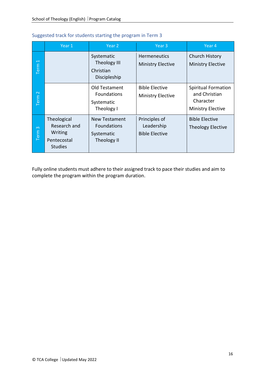|                                  | Year 1                                                                  | Year 2                                                                  | Year <sub>3</sub>                                    | Year 4                                                                               |
|----------------------------------|-------------------------------------------------------------------------|-------------------------------------------------------------------------|------------------------------------------------------|--------------------------------------------------------------------------------------|
| $\overline{\phantom{0}}$<br>Term |                                                                         | Systematic<br>Theology III<br>Christian<br>Discipleship                 | Hermeneutics<br><b>Ministry Elective</b>             | Church History<br><b>Ministry Elective</b>                                           |
| $\sim$<br>Term                   |                                                                         | Old Testament<br><b>Foundations</b><br>Systematic<br>Theology I         | <b>Bible Elective</b><br><b>Ministry Elective</b>    | <b>Spiritual Formation</b><br>and Christian<br>Character<br><b>Ministry Elective</b> |
| $\infty$<br>Term                 | Theological<br>Research and<br>Writing<br>Pentecostal<br><b>Studies</b> | <b>New Testament</b><br><b>Foundations</b><br>Systematic<br>Theology II | Principles of<br>Leadership<br><b>Bible Elective</b> | <b>Bible Elective</b><br><b>Theology Elective</b>                                    |

#### Suggested track for students starting the program in Term 3

Fully online students must adhere to their assigned track to pace their studies and aim to complete the program within the program duration.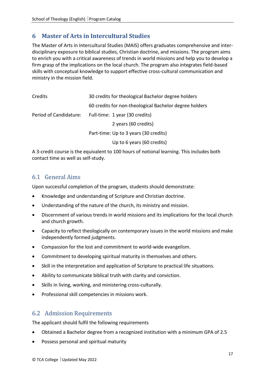## <span id="page-17-0"></span>**6 Master of Arts in Intercultural Studies**

The Master of Arts in Intercultural Studies (MAIS) offers graduates comprehensive and interdisciplinary exposure to biblical studies, Christian doctrine, and missions. The program aims to enrich you with a critical awareness of trends in world missions and help you to develop a firm grasp of the implications on the local church. The program also integrates field-based skills with conceptual knowledge to support effective cross-cultural communication and ministry in the mission field.

| Credits                | 30 credits for theological Bachelor degree holders     |  |
|------------------------|--------------------------------------------------------|--|
|                        | 60 credits for non-theological Bachelor degree holders |  |
| Period of Candidature: | Full-time: 1 year (30 credits)                         |  |
|                        | 2 years (60 credits)                                   |  |
|                        | Part-time: Up to 3 years (30 credits)                  |  |
|                        | Up to 6 years (60 credits)                             |  |

A 3-credit course is the equivalent to 100 hours of notional learning. This includes both contact time as well as self-study.

#### 6.1 General Aims

Upon successful completion of the program, students should demonstrate:

- Knowledge and understanding of Scripture and Christian doctrine.
- Understanding of the nature of the church, its ministry and mission.
- Discernment of various trends in world missions and its implications for the local church and church growth.
- Capacity to reflect theologically on contemporary issues in the world missions and make independently formed judgments.
- Compassion for the lost and commitment to world-wide evangelism.
- Commitment to developing spiritual maturity in themselves and others.
- Skill in the interpretation and application of Scripture to practical life situations.
- Ability to communicate biblical truth with clarity and conviction.
- Skills in living, working, and ministering cross-culturally.
- Professional skill competencies in missions work.

#### 6.2 Admission Requirements

The applicant should fulfil the following requirements

- Obtained a Bachelor degree from a recognized institution with a minimum GPA of 2.5
- Possess personal and spiritual maturity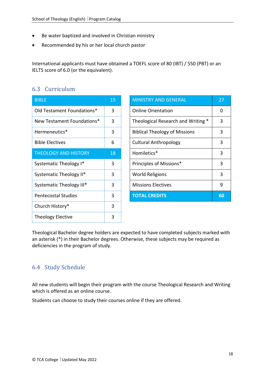- Be water baptized and involved in Christian ministry
- Recommended by his or her local church pastor

International applicants must have obtained a TOEFL score of 80 (IBT) / 550 (PBT) or an IELTS score of 6.0 (or the equivalent).

#### 6.3 Curriculum

| <b>BIBLE</b>                | 15 |
|-----------------------------|----|
| Old Testament Foundations*  | 3  |
| New Testament Foundations*  | 3  |
| Hermeneutics*               | 3  |
| <b>Bible Electives</b>      | 6  |
| <b>THEOLOGY AND HISTORY</b> | 18 |
| Systematic Theology I*      | 3  |
| Systematic Theology II*     | 3  |
| Systematic Theology III*    | 3  |
| <b>Pentecostal Studies</b>  | 3  |
| Church History*             | 3  |
| <b>Theology Elective</b>    | 3  |

| <b>BIBLE</b>                | 15 | <b>MINISTRY AND GENERAL</b>          | 27 |
|-----------------------------|----|--------------------------------------|----|
| Old Testament Foundations*  | 3  | <b>Online Orientation</b>            | 0  |
| New Testament Foundations*  | 3  | Theological Research and Writing *   | 3  |
| Hermeneutics*               | 3  | <b>Biblical Theology of Missions</b> | 3  |
| <b>Bible Electives</b>      | 6  | <b>Cultural Anthropology</b>         | 3  |
| <b>THEOLOGY AND HISTORY</b> | 18 | Homiletics*                          | 3  |
| Systematic Theology I*      | 3  | Principles of Missions*              | 3  |
| Systematic Theology II*     | 3  | <b>World Religions</b>               | 3  |
| Systematic Theology III*    | 3  | <b>Missions Electives</b>            | 9  |
| <b>Pentecostal Studies</b>  | 3  | <b>TOTAL CREDITS</b>                 | 60 |
|                             |    |                                      |    |

Theological Bachelor degree holders are expected to have completed subjects marked with an asterisk (\*) in their Bachelor degrees. Otherwise, these subjects may be required as deficiencies in the program of study.

## 6.4 Study Schedule

All new students will begin their program with the course Theological Research and Writing which is offered as an online course.

Students can choose to study their courses online if they are offered.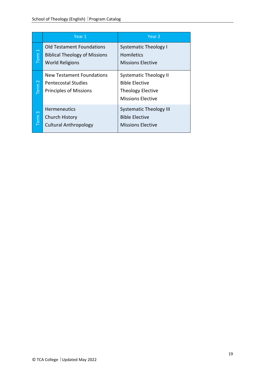|                                                                                                                                        | Year 1                                                                                   | Year <sub>2</sub>                                                                                       |  |
|----------------------------------------------------------------------------------------------------------------------------------------|------------------------------------------------------------------------------------------|---------------------------------------------------------------------------------------------------------|--|
| <b>Old Testament Foundations</b><br>$\overline{\phantom{0}}$<br>Term<br><b>Biblical Theology of Missions</b><br><b>World Religions</b> |                                                                                          | <b>Systematic Theology I</b><br><b>Homiletics</b><br><b>Missions Elective</b>                           |  |
| Term <sub>2</sub>                                                                                                                      | New Testament Foundations<br><b>Pentecostal Studies</b><br><b>Principles of Missions</b> | <b>Systematic Theology II</b><br><b>Bible Elective</b><br><b>Theology Elective</b><br>Missions Elective |  |
| $\infty$<br>Term                                                                                                                       | <b>Hermeneutics</b><br><b>Church History</b><br><b>Cultural Anthropology</b>             | <b>Systematic Theology III</b><br><b>Bible Elective</b><br><b>Missions Elective</b>                     |  |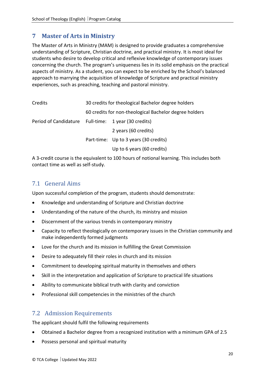## <span id="page-20-0"></span>**7 Master of Arts in Ministry**

The Master of Arts in Ministry (MAM) is designed to provide graduates a comprehensive understanding of Scripture, Christian doctrine, and practical ministry. It is most ideal for students who desire to develop critical and reflexive knowledge of contemporary issues concerning the church. The program's uniqueness lies in its solid emphasis on the practical aspects of ministry. As a student, you can expect to be enriched by the School's balanced approach to marrying the acquisition of knowledge of Scripture and practical ministry experiences, such as preaching, teaching and pastoral ministry.

| Credits               | 30 credits for theological Bachelor degree holders     |                                       |  |
|-----------------------|--------------------------------------------------------|---------------------------------------|--|
|                       | 60 credits for non-theological Bachelor degree holders |                                       |  |
| Period of Candidature | Full-time: 1 year (30 credits)<br>2 years (60 credits) |                                       |  |
|                       |                                                        |                                       |  |
|                       |                                                        | Part-time: Up to 3 years (30 credits) |  |
|                       |                                                        | Up to 6 years (60 credits)            |  |

A 3-credit course is the equivalent to 100 hours of notional learning. This includes both contact time as well as self-study.

#### 7.1 General Aims

Upon successful completion of the program, students should demonstrate:

- Knowledge and understanding of Scripture and Christian doctrine
- Understanding of the nature of the church, its ministry and mission
- Discernment of the various trends in contemporary ministry
- Capacity to reflect theologically on contemporary issues in the Christian community and make independently formed judgments
- Love for the church and its mission in fulfilling the Great Commission
- Desire to adequately fill their roles in church and its mission
- Commitment to developing spiritual maturity in themselves and others
- Skill in the interpretation and application of Scripture to practical life situations
- Ability to communicate biblical truth with clarity and conviction
- Professional skill competencies in the ministries of the church

#### 7.2 Admission Requirements

The applicant should fulfil the following requirements

- Obtained a Bachelor degree from a recognized institution with a minimum GPA of 2.5
- Possess personal and spiritual maturity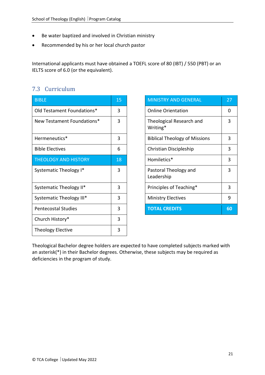- Be water baptized and involved in Christian ministry
- Recommended by his or her local church pastor

International applicants must have obtained a TOEFL score of 80 (IBT) / 550 (PBT) or an IELTS score of 6.0 (or the equivalent).

#### 7.3 Curriculum

| <b>BIBLE</b>                | 15 | <b>MINISTRY AND GENERAL</b>          | 27 |
|-----------------------------|----|--------------------------------------|----|
| Old Testament Foundations*  | 3  | <b>Online Orientation</b>            | 0  |
| New Testament Foundations*  | 3  | Theological Research and<br>Writing* | 3  |
| Hermeneutics*               | 3  | <b>Biblical Theology of Missions</b> | 3  |
| <b>Bible Electives</b>      | 6  | Christian Discipleship               | 3  |
| <b>THEOLOGY AND HISTORY</b> | 18 | Homiletics*                          | 3  |
| Systematic Theology I*      | 3  | Pastoral Theology and<br>Leadership  | 3  |
| Systematic Theology II*     | 3  | Principles of Teaching*              | 3  |
| Systematic Theology III*    | 3  | <b>Ministry Electives</b>            | 9  |
| <b>Pentecostal Studies</b>  | 3  | <b>TOTAL CREDITS</b>                 | 60 |
| Church History*             | 3  |                                      |    |
| <b>Theology Elective</b>    | 3  |                                      |    |

| <b>MINISTRY AND GENERAL</b>          | 27 |
|--------------------------------------|----|
| <b>Online Orientation</b>            | O  |
| Theological Research and<br>Writing* | 3  |
| <b>Biblical Theology of Missions</b> | 3  |
| Christian Discipleship               | 3  |
| Homiletics*                          | 3  |
| Pastoral Theology and<br>Leadership  | 3  |
| Principles of Teaching*              | 3  |
| <b>Ministry Electives</b>            | 9  |
| <b>TOTAL CREDITS</b>                 | 60 |

Theological Bachelor degree holders are expected to have completed subjects marked with an asterisk(\*) in their Bachelor degrees. Otherwise, these subjects may be required as deficiencies in the program of study.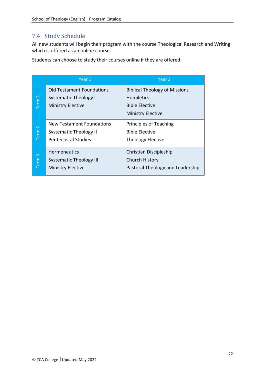## 7.4 Study Schedule

All new students will begin their program with the course Theological Research and Writing which is offered as an online course.

Students can choose to study their courses online if they are offered.

|                            | Year 1                           | Year 2                               |  |
|----------------------------|----------------------------------|--------------------------------------|--|
|                            | <b>Old Testament Foundations</b> | <b>Biblical Theology of Missions</b> |  |
| Term <sub>1</sub>          | <b>Systematic Theology I</b>     | <b>Homiletics</b>                    |  |
|                            | <b>Ministry Elective</b>         | <b>Bible Elective</b>                |  |
|                            |                                  | <b>Ministry Elective</b>             |  |
|                            | New Testament Foundations        | <b>Principles of Teaching</b>        |  |
| Term <sub>2</sub>          | <b>Systematic Theology II</b>    | <b>Bible Elective</b>                |  |
| <b>Pentecostal Studies</b> |                                  | <b>Theology Elective</b>             |  |
|                            | <b>Hermeneutics</b>              | Christian Discipleship               |  |
| $\infty$                   | <b>Systematic Theology III</b>   | <b>Church History</b>                |  |
| Term                       | <b>Ministry Elective</b>         | Pastoral Theology and Leadership     |  |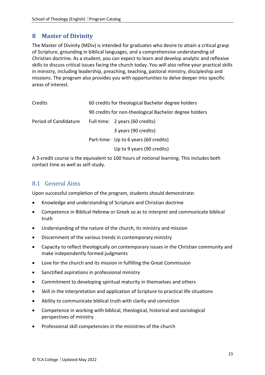#### <span id="page-23-0"></span>**8 Master of Divinity**

The Master of Divinity (MDiv) is intended for graduates who desire to attain a critical grasp of Scripture, grounding in biblical languages, and a comprehensive understanding of Christian doctrine. As a student, you can expect to learn and develop analytic and reflexive skills to discuss critical issues facing the church today. You will also refine your practical skills in ministry, including leadership, preaching, teaching, pastoral ministry, discipleship and missions. The program also provides you with opportunities to delve deeper into specific areas of interest.

| Credits               | 60 credits for theological Bachelor degree holders<br>90 credits for non-theological Bachelor degree holders |                                       |
|-----------------------|--------------------------------------------------------------------------------------------------------------|---------------------------------------|
|                       |                                                                                                              |                                       |
| Period of Candidature |                                                                                                              | Full-time: 2 years (60 credits)       |
|                       |                                                                                                              | 3 years (90 credits)                  |
|                       |                                                                                                              | Part-time: Up to 6 years (60 credits) |
|                       |                                                                                                              | Up to 9 years (90 credits)            |

A 3-credit course is the equivalent to 100 hours of notional learning. This includes both contact time as well as self-study.

#### 8.1 General Aims

Upon successful completion of the program, students should demonstrate:

- Knowledge and understanding of Scripture and Christian doctrine
- Competence in Biblical Hebrew or Greek so as to interpret and communicate biblical truth
- Understanding of the nature of the church, its ministry and mission
- Discernment of the various trends in contemporary ministry
- Capacity to reflect theologically on contemporary issues in the Christian community and make independently formed judgments
- Love for the church and its mission in fulfilling the Great Commission
- Sanctified aspirations in professional ministry
- Commitment to developing spiritual maturity in themselves and others
- Skill in the interpretation and application of Scripture to practical life situations
- Ability to communicate biblical truth with clarity and conviction
- Competence in working with biblical, theological, historical and sociological perspectives of ministry
- Professional skill competencies in the ministries of the church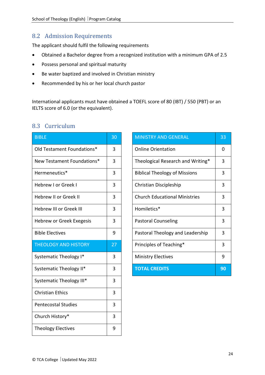#### 8.2 Admission Requirements

The applicant should fulfil the following requirements

- Obtained a Bachelor degree from a recognized institution with a minimum GPA of 2.5
- Possess personal and spiritual maturity
- Be water baptized and involved in Christian ministry
- Recommended by his or her local church pastor

International applicants must have obtained a TOEFL score of 80 (IBT) / 550 (PBT) or an IELTS score of 6.0 (or the equivalent).

| <b>BIBLE</b>                 | 30 |
|------------------------------|----|
| Old Testament Foundations*   | 3  |
| New Testament Foundations*   | 3  |
| Hermeneutics*                | 3  |
| Hebrew I or Greek I          | 3  |
| <b>Hebrew II or Greek II</b> | 3  |
| Hebrew III or Greek III      | 3  |
| Hebrew or Greek Exegesis     | 3  |
| <b>Bible Electives</b>       | 9  |
| <b>THEOLOGY AND HISTORY</b>  | 27 |
| Systematic Theology I*       | 3  |
| Systematic Theology II*      | 3  |
| Systematic Theology III*     | 3  |
| <b>Christian Ethics</b>      | 3  |
| <b>Pentecostal Studies</b>   | 3  |
| Church History*              | 3  |
| <b>Theology Electives</b>    | 9  |

#### 8.3 Curriculum

| <b>BIBLE</b>                    | 30 | <b>MINISTRY AND GENERAL</b>          | 33 |
|---------------------------------|----|--------------------------------------|----|
| Old Testament Foundations*      | 3  | <b>Online Orientation</b>            | 0  |
| New Testament Foundations*      | 3  | Theological Research and Writing*    | 3  |
| Hermeneutics*                   | 3  | <b>Biblical Theology of Missions</b> | 3  |
| <b>Hebrew I or Greek I</b>      | 3  | Christian Discipleship               | 3  |
| <b>Hebrew II or Greek II</b>    | 3  | <b>Church Educational Ministries</b> | 3  |
| <b>Hebrew III or Greek III</b>  | 3  | Homiletics*                          | 3  |
| <b>Hebrew or Greek Exegesis</b> | 3  | <b>Pastoral Counseling</b>           | 3  |
| <b>Bible Electives</b>          | 9  | Pastoral Theology and Leadership     | 3  |
| <b>THEOLOGY AND HISTORY</b>     | 27 | Principles of Teaching*              | 3  |
| Systematic Theology I*          | 3  | <b>Ministry Electives</b>            | 9  |
| Systematic Theology II*         | 3  | <b>TOTAL CREDITS</b>                 | 90 |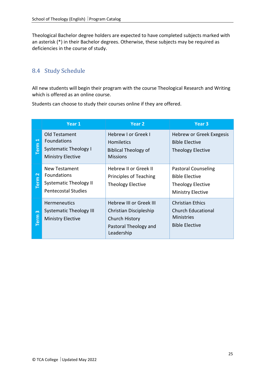Theological Bachelor degree holders are expected to have completed subjects marked with an asterisk (\*) in their Bachelor degrees. Otherwise, these subjects may be required as deficiencies in the course of study.

#### 8.4 Study Schedule

All new students will begin their program with the course Theological Research and Writing which is offered as an online course.

Students can choose to study their courses online if they are offered.

|                                      | Year 1                                                                                                    | Year <sub>2</sub>                                                                                                        | Year <sub>3</sub>                                                                                           |
|--------------------------------------|-----------------------------------------------------------------------------------------------------------|--------------------------------------------------------------------------------------------------------------------------|-------------------------------------------------------------------------------------------------------------|
| ↤<br><b>Term</b>                     | Old Testament<br><b>Foundations</b><br><b>Systematic Theology I</b><br><b>Ministry Elective</b>           | <b>Hebrew I or Greek I</b><br><b>Homiletics</b><br><b>Biblical Theology of</b><br><b>Missions</b>                        | Hebrew or Greek Exegesis<br><b>Bible Elective</b><br><b>Theology Elective</b>                               |
| $\mathbf{\mathbf{N}}$<br><b>Term</b> | <b>New Testament</b><br><b>Foundations</b><br><b>Systematic Theology II</b><br><b>Pentecostal Studies</b> | Hebrew II or Greek II<br>Principles of Teaching<br><b>Theology Elective</b>                                              | <b>Pastoral Counseling</b><br><b>Bible Elective</b><br><b>Theology Elective</b><br><b>Ministry Elective</b> |
| $\infty$<br><b>Term</b>              | <b>Hermeneutics</b><br><b>Systematic Theology III</b><br><b>Ministry Elective</b>                         | <b>Hebrew III or Greek III</b><br>Christian Discipleship<br><b>Church History</b><br>Pastoral Theology and<br>Leadership | <b>Christian Ethics</b><br><b>Church Educational</b><br><b>Ministries</b><br><b>Bible Elective</b>          |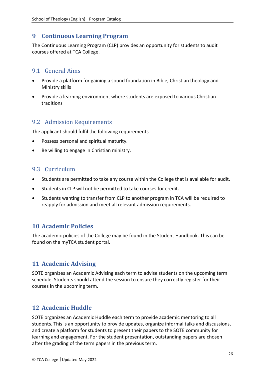#### <span id="page-26-0"></span>**9 Continuous Learning Program**

The Continuous Learning Program (CLP) provides an opportunity for students to audit courses offered at TCA College.

#### 9.1 General Aims

- Provide a platform for gaining a sound foundation in Bible, Christian theology and Ministry skills
- Provide a learning environment where students are exposed to various Christian traditions

#### 9.2 Admission Requirements

The applicant should fulfil the following requirements

- Possess personal and spiritual maturity.
- Be willing to engage in Christian ministry.

#### 9.3 Curriculum

- Students are permitted to take any course within the College that is available for audit.
- Students in CLP will not be permitted to take courses for credit.
- Students wanting to transfer from CLP to another program in TCA will be required to reapply for admission and meet all relevant admission requirements.

#### <span id="page-26-1"></span>**10 Academic Policies**

The academic policies of the College may be found in the Student Handbook. This can be found on the myTCA student portal.

#### <span id="page-26-2"></span>**11 Academic Advising**

SOTE organizes an Academic Advising each term to advise students on the upcoming term schedule. Students should attend the session to ensure they correctly register for their courses in the upcoming term.

#### <span id="page-26-3"></span>**12 Academic Huddle**

SOTE organizes an Academic Huddle each term to provide academic mentoring to all students. This is an opportunity to provide updates, organize informal talks and discussions, and create a platform for students to present their papers to the SOTE community for learning and engagement. For the student presentation, outstanding papers are chosen after the grading of the term papers in the previous term.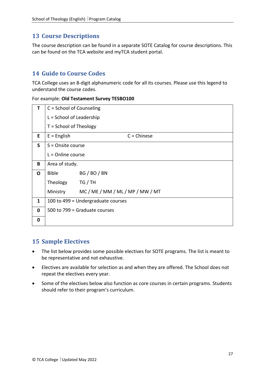## <span id="page-27-0"></span>**13 Course Descriptions**

The course description can be found in a separate SOTE Catalog for course descriptions. This can be found on the TCA website and myTCA student portal.

#### <span id="page-27-1"></span>**14 Guide to Course Codes**

TCA College uses an 8-digit alphanumeric code for all its courses. Please use this legend to understand the course codes.

|  | For example: Old Testament Survey TESBO100 |  |
|--|--------------------------------------------|--|
|--|--------------------------------------------|--|

| т            | C = School of Counseling           |                                  |  |
|--------------|------------------------------------|----------------------------------|--|
|              | L = School of Leadership           |                                  |  |
|              | $T =$ School of Theology           |                                  |  |
| E.           | $E =$ English                      | $C =$ Chinese                    |  |
| $\mathsf{S}$ | $S =$ Onsite course                |                                  |  |
|              | $L =$ Online course                |                                  |  |
| B            | Area of study.                     |                                  |  |
| $\mathbf{O}$ | <b>Bible</b>                       | BG / BO / BN                     |  |
|              | Theology                           | TG / TH                          |  |
|              | Ministry                           | MC / ME / MM / ML / MP / MW / MT |  |
| $\mathbf{1}$ | 100 to 499 = Undergraduate courses |                                  |  |
| $\mathbf 0$  | 500 to 799 = Graduate courses      |                                  |  |
| $\mathbf 0$  |                                    |                                  |  |

#### <span id="page-27-2"></span>**15 Sample Electives**

- The list below provides some possible electives for SOTE programs. The list is meant to be representative and not exhaustive.
- Electives are available for selection as and when they are offered. The School does not repeat the electives every year.
- Some of the electives below also function as core courses in certain programs. Students should refer to their program's curriculum.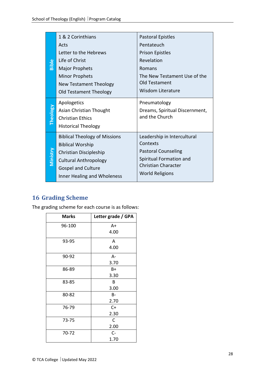| Bible           | 1 & 2 Corinthians<br>Acts<br>Letter to the Hebrews<br>Life of Christ<br><b>Major Prophets</b><br><b>Minor Prophets</b><br>New Testament Theology<br>Old Testament Theology            | <b>Pastoral Epistles</b><br>Pentateuch<br><b>Prison Epistles</b><br>Revelation<br>Romans<br>The New Testament Use of the<br>Old Testament<br><b>Wisdom Literature</b> |
|-----------------|---------------------------------------------------------------------------------------------------------------------------------------------------------------------------------------|-----------------------------------------------------------------------------------------------------------------------------------------------------------------------|
| <b>Theology</b> | Apologetics<br>Asian Christian Thought<br><b>Christian Ethics</b><br><b>Historical Theology</b>                                                                                       | Pneumatology<br>Dreams, Spiritual Discernment,<br>and the Church                                                                                                      |
| Ministry        | <b>Biblical Theology of Missions</b><br><b>Biblical Worship</b><br>Christian Discipleship<br><b>Cultural Anthropology</b><br><b>Gospel and Culture</b><br>Inner Healing and Wholeness | Leadership in Intercultural<br>Contexts<br><b>Pastoral Counseling</b><br>Spiritual Formation and<br>Christian Character<br><b>World Religions</b>                     |

## <span id="page-28-0"></span>**16 Grading Scheme**

The grading scheme for each course is as follows:

| <b>Marks</b> | Letter grade / GPA |
|--------------|--------------------|
| 96-100       | A+                 |
|              | 4.00               |
| 93-95        | A                  |
|              | 4.00               |
| 90-92        | A-                 |
|              | 3.70               |
| 86-89        | B+                 |
|              | 3.30               |
| 83-85        | в                  |
|              | 3.00               |
| 80-82        | B-                 |
|              | 2.70               |
| 76-79        | $C+$               |
|              | 2.30               |
| 73-75        | C                  |
|              | 2.00               |
| 70-72        | $C-$               |
|              | 1.70               |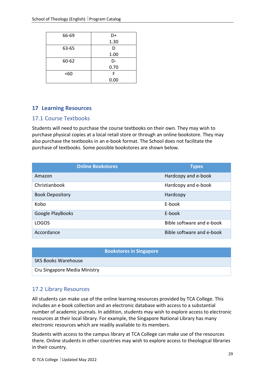| 66-69 | D+   |
|-------|------|
|       | 1.30 |
| 63-65 | D    |
|       | 1.00 |
| 60-62 | D-   |
|       | 0.70 |
| <60   | F    |
|       | 0.00 |

#### <span id="page-29-0"></span>**17 Learning Resources**

#### 17.1 Course Textbooks

Students will need to purchase the course textbooks on their own. They may wish to purchase physical copies at a local retail store or through an online bookstore. They may also purchase the textbooks in an e-book format. The School does not facilitate the purchase of textbooks. Some possible bookstores are shown below.

| <b>Online Bookstores</b> | <b>Types</b>              |
|--------------------------|---------------------------|
| Amazon                   | Hardcopy and e-book       |
| Christianbook            | Hardcopy and e-book       |
| <b>Book Depository</b>   | Hardcopy                  |
| Kobo                     | E-book                    |
| Google PlayBooks         | E-book                    |
| <b>LOGOS</b>             | Bible software and e-book |
| Accordance               | Bible software and e-book |

| <b>Bookstores in Singapore</b> |
|--------------------------------|
| <b>SKS Books Warehouse</b>     |
| Cru Singapore Media Ministry   |

#### 17.2 Library Resources

All students can make use of the online learning resources provided by TCA College. This includes an e-book collection and an electronic database with access to a substantial number of academic journals. In addition, students may wish to explore access to electronic resources at their local library. For example, the Singapore National Library has many electronic resources which are readily available to its members.

Students with access to the campus library at TCA College can make use of the resources there. Online students in other countries may wish to explore access to theological libraries in their country.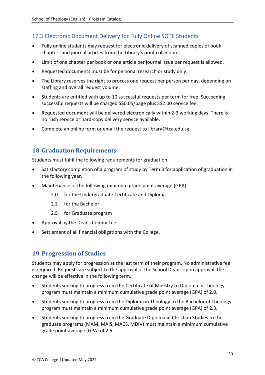#### 17.3 Electronic Document Delivery for Fully Online SOTE Students

- Fully online students may request for electronic delivery of scanned copies of book chapters and journal articles from the Library's print collection.
- Limit of one chapter per book or one article per journal issue per request is allowed.
- Requested documents must be for personal research or study only.
- The Library reserves the right to process one request per person per day, depending on staffing and overall request volume.
- Students are entitled with up to 10 successful requests per term for free. Succeeding successful requests will be charged S\$0.05/page plus S\$2.00 service fee.
- Requested document will be delivered electronically within 2-3 working days. There is no rush service or hard-copy delivery service available.
- Complete an online form or email the request t[o library@tca.edu.sg.](mailto:library@tca.edu.sg)

#### <span id="page-30-0"></span>**18 Graduation Requirements**

Students must fulfil the following requirements for graduation.

- Satisfactory completion of a program of study by Term 3 for application of graduation in the following year.
- Maintenance of the following minimum grade point average (GPA)
	- 2.0 for the Undergraduate Certificate and Diploma
	- 2.3 for the Bachelor
	- 2.5 for Graduate program
- Approval by the Deans Committee.
- Settlement of all financial obligations with the College.

#### <span id="page-30-1"></span>**19 Progression of Studies**

Students may apply for progression at the last term of their program. No administrative fee is required. Requests are subject to the approval of the School Dean. Upon approval, the change will be effective in the following term.

- Students seeking to progress from the Certificate of Ministry to Diploma in Theology program must maintain a minimum cumulative grade point average (GPA) of 2.0.
- Students seeking to progress from the Diploma in Theology to the Bachelor of Theology program must maintain a minimum cumulative grade point average (GPA) of 2.3.
- Students seeking to progress from the Graduate Diploma in Christian Studies to the graduate programs (MAM, MAIS, MACS, MDIV) must maintain a minimum cumulative grade point average (GPA) of 2.5.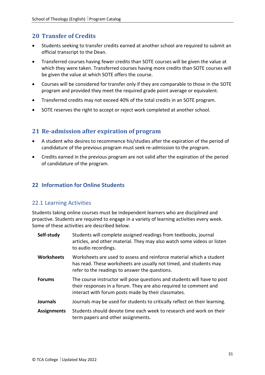#### <span id="page-31-0"></span>**20 Transfer of Credits**

- Students seeking to transfer credits earned at another school are required to submit an official transcript to the Dean.
- Transferred courses having fewer credits than SOTE courses will be given the value at which they were taken. Transferred courses having more credits than SOTE courses will be given the value at which SOTE offers the course.
- Courses will be considered for transfer only if they are comparable to those in the SOTE program and provided they meet the required grade point average or equivalent.
- Transferred credits may not exceed 40% of the total credits in an SOTE program.
- SOTE reserves the right to accept or reject work completed at another school.

#### <span id="page-31-1"></span>**21 Re-admission after expiration of program**

- A student who desires to recommence his/studies after the expiration of the period of candidature of the previous program must seek re-admission to the program.
- Credits earned in the previous program are not valid after the expiration of the period of candidature of the program.

#### <span id="page-31-2"></span>**22 Information for Online Students**

#### 22.1 Learning Activities

Students taking online courses must be independent learners who are disciplined and proactive. Students are required to engage in a variety of learning activities every week. Some of these activities are described below.

| Self-study         | Students will complete assigned readings from textbooks, journal<br>articles, and other material. They may also watch some videos or listen<br>to audio recordings.                                  |
|--------------------|------------------------------------------------------------------------------------------------------------------------------------------------------------------------------------------------------|
| <b>Worksheets</b>  | Worksheets are used to assess and reinforce material which a student<br>has read. These worksheets are usually not timed, and students may<br>refer to the readings to answer the questions.         |
| <b>Forums</b>      | The course instructor will pose questions and students will have to post<br>their responses in a forum. They are also required to comment and<br>interact with forum posts made by their classmates. |
| <b>Journals</b>    | Journals may be used for students to critically reflect on their learning.                                                                                                                           |
| <b>Assignments</b> | Students should devote time each week to research and work on their<br>term papers and other assignments.                                                                                            |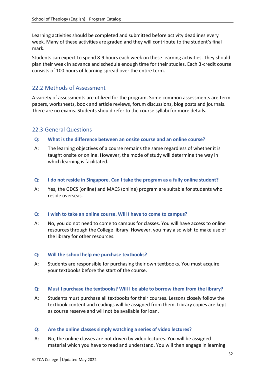Learning activities should be completed and submitted before activity deadlines every week. Many of these activities are graded and they will contribute to the student's final mark.

Students can expect to spend 8-9 hours each week on these learning activities. They should plan their week in advance and schedule enough time for their studies. Each 3-credit course consists of 100 hours of learning spread over the entire term.

#### 22.2 Methods of Assessment

A variety of assessments are utilized for the program. Some common assessments are term papers, worksheets, book and article reviews, forum discussions, blog posts and journals. There are no exams. Students should refer to the course syllabi for more details.

#### 22.3 General Questions

- **Q: What is the difference between an onsite course and an online course?**
- A: The learning objectives of a course remains the same regardless of whether it is taught onsite or online. However, the mode of study will determine the way in which learning is facilitated.
- **Q: I do not reside in Singapore. Can I take the program as a fully online student?**
- A: Yes, the GDCS (online) and MACS (online) program are suitable for students who reside overseas.

#### **Q: I wish to take an online course. Will I have to come to campus?**

A: No, you do not need to come to campus for classes. You will have access to online resources through the College library. However, you may also wish to make use of the library for other resources.

#### **Q: Will the school help me purchase textbooks?**

A: Students are responsible for purchasing their own textbooks. You must acquire your textbooks before the start of the course.

#### **Q: Must I purchase the textbooks? Will I be able to borrow them from the library?**

A: Students must purchase all textbooks for their courses. Lessons closely follow the textbook content and readings will be assigned from them. Library copies are kept as course reserve and will not be available for loan.

#### **Q: Are the online classes simply watching a series of video lectures?**

A: No, the online classes are not driven by video lectures. You will be assigned material which you have to read and understand. You will then engage in learning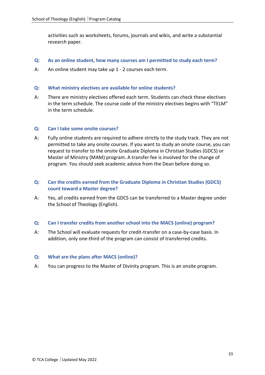activities such as worksheets, forums, journals and wikis, and write a substantial research paper.

- **Q: As an online student, how many courses am I permitted to study each term?**
- A: An online student may take up 1 2 courses each term.

#### **Q: What ministry electives are available for online students?**

A: There are ministry electives offered each term. Students can check these electives in the term schedule. The course code of the ministry electives begins with "TELM" in the term schedule.

#### **Q: Can I take some onsite courses?**

A: Fully online students are required to adhere strictly to the study track. They are not permitted to take any onsite courses. If you want to study an onsite course, you can request to transfer to the onsite Graduate Diploma in Christian Studies (GDCS) or Master of Ministry (MAM) program. A transfer fee is involved for the change of program. You should seek academic advice from the Dean before doing so.

#### **Q: Can the credits earned from the Graduate Diploma in Christian Studies (GDCS) count toward a Master degree?**

A: Yes, all credits earned from the GDCS can be transferred to a Master degree under the School of Theology (English).

#### **Q: Can I transfer credits from another school into the MACS (online) program?**

A: The School will evaluate requests for credit-transfer on a case-by-case basis. In addition, only one-third of the program can consist of transferred credits.

#### **Q: What are the plans after MACS (online)?**

A: You can progress to the Master of Divinity program. This is an onsite program.